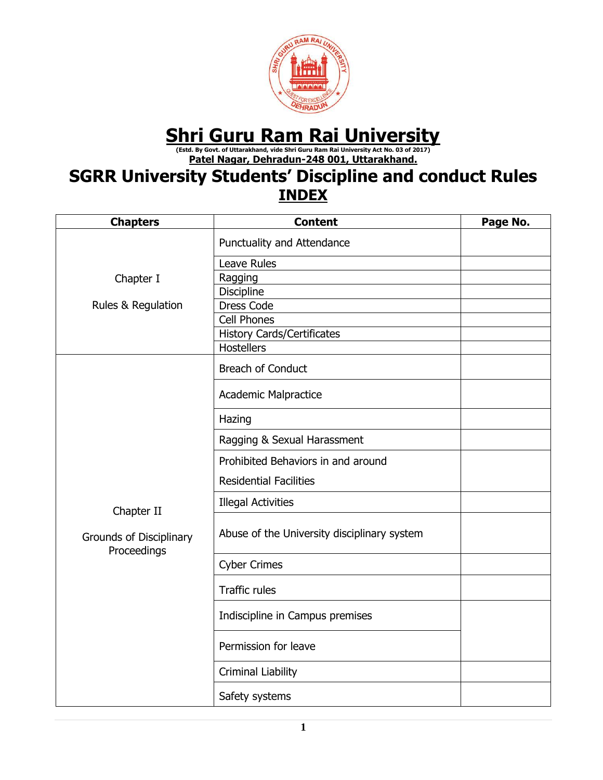

# Shri Guru Ram Rai University Asi Tersity

**Patel Nagar, Dehradun-248 001, Uttarakhand.**

# **SGRR University Students' Discipline and conduct Rules INDEX**

| <b>Chapters</b>                                      | <b>Content</b>                              | Page No. |
|------------------------------------------------------|---------------------------------------------|----------|
|                                                      | Punctuality and Attendance                  |          |
|                                                      | Leave Rules                                 |          |
| Chapter I                                            | Ragging                                     |          |
|                                                      | <b>Discipline</b>                           |          |
| Rules & Regulation                                   | <b>Dress Code</b>                           |          |
|                                                      | <b>Cell Phones</b>                          |          |
|                                                      | <b>History Cards/Certificates</b>           |          |
|                                                      | <b>Hostellers</b>                           |          |
|                                                      | <b>Breach of Conduct</b>                    |          |
|                                                      | <b>Academic Malpractice</b>                 |          |
|                                                      | Hazing                                      |          |
|                                                      | Ragging & Sexual Harassment                 |          |
|                                                      | Prohibited Behaviors in and around          |          |
|                                                      | <b>Residential Facilities</b>               |          |
| Chapter II<br>Grounds of Disciplinary<br>Proceedings | <b>Illegal Activities</b>                   |          |
|                                                      | Abuse of the University disciplinary system |          |
|                                                      | <b>Cyber Crimes</b>                         |          |
|                                                      | <b>Traffic rules</b>                        |          |
|                                                      | Indiscipline in Campus premises             |          |
|                                                      | Permission for leave                        |          |
|                                                      | Criminal Liability                          |          |
|                                                      | Safety systems                              |          |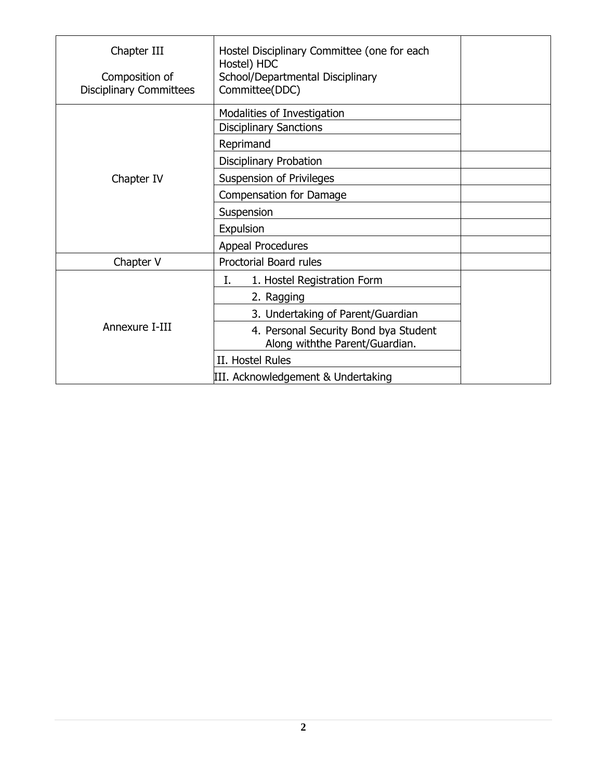| Chapter III                                      | Hostel Disciplinary Committee (one for each                             |  |
|--------------------------------------------------|-------------------------------------------------------------------------|--|
| Composition of<br><b>Disciplinary Committees</b> | Hostel) HDC<br>School/Departmental Disciplinary<br>Committee(DDC)       |  |
|                                                  | Modalities of Investigation<br><b>Disciplinary Sanctions</b>            |  |
|                                                  | Reprimand                                                               |  |
|                                                  | Disciplinary Probation                                                  |  |
| Chapter IV                                       | Suspension of Privileges                                                |  |
|                                                  | Compensation for Damage                                                 |  |
|                                                  | Suspension                                                              |  |
|                                                  | Expulsion                                                               |  |
|                                                  | <b>Appeal Procedures</b>                                                |  |
| Chapter V                                        | Proctorial Board rules                                                  |  |
|                                                  | 1. Hostel Registration Form<br>Ι.                                       |  |
|                                                  | 2. Ragging                                                              |  |
|                                                  | 3. Undertaking of Parent/Guardian                                       |  |
| Annexure I-III                                   | 4. Personal Security Bond bya Student<br>Along withthe Parent/Guardian. |  |
|                                                  | II. Hostel Rules                                                        |  |
|                                                  | III. Acknowledgement & Undertaking                                      |  |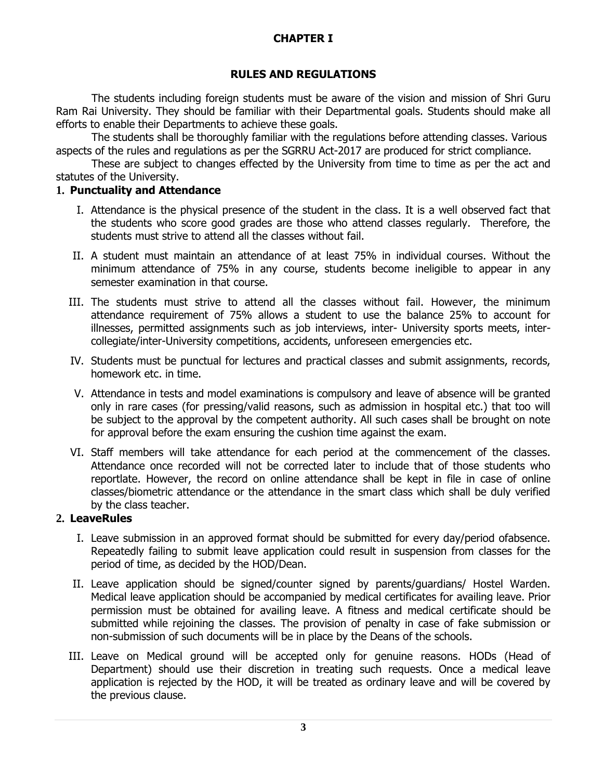# **CHAPTER I**

### **RULES AND REGULATIONS**

The students including foreign students must be aware of the vision and mission of Shri Guru Ram Rai University. They should be familiar with their Departmental goals. Students should make all efforts to enable their Departments to achieve these goals.

The students shall be thoroughly familiar with the regulations before attending classes. Various aspects of the rules and regulations as per the SGRRU Act-2017 are produced for strict compliance.

These are subject to changes effected by the University from time to time as per the act and statutes of the University.

### **1. Punctuality and Attendance**

- I. Attendance is the physical presence of the student in the class. It is a well observed fact that the students who score good grades are those who attend classes regularly. Therefore, the students must strive to attend all the classes without fail.
- II. A student must maintain an attendance of at least 75% in individual courses. Without the minimum attendance of 75% in any course, students become ineligible to appear in any semester examination in that course.
- III. The students must strive to attend all the classes without fail. However, the minimum attendance requirement of 75% allows a student to use the balance 25% to account for illnesses, permitted assignments such as job interviews, inter- University sports meets, intercollegiate/inter-University competitions, accidents, unforeseen emergencies etc.
- IV. Students must be punctual for lectures and practical classes and submit assignments, records, homework etc. in time.
- V. Attendance in tests and model examinations is compulsory and leave of absence will be granted only in rare cases (for pressing/valid reasons, such as admission in hospital etc.) that too will be subject to the approval by the competent authority. All such cases shall be brought on note for approval before the exam ensuring the cushion time against the exam.
- VI. Staff members will take attendance for each period at the commencement of the classes. Attendance once recorded will not be corrected later to include that of those students who reportlate. However, the record on online attendance shall be kept in file in case of online classes/biometric attendance or the attendance in the smart class which shall be duly verified by the class teacher.

### **2. LeaveRules**

- I. Leave submission in an approved format should be submitted for every day/period ofabsence. Repeatedly failing to submit leave application could result in suspension from classes for the period of time, as decided by the HOD/Dean.
- II. Leave application should be signed/counter signed by parents/guardians/ Hostel Warden. Medical leave application should be accompanied by medical certificates for availing leave. Prior permission must be obtained for availing leave. A fitness and medical certificate should be submitted while rejoining the classes. The provision of penalty in case of fake submission or non-submission of such documents will be in place by the Deans of the schools.
- III. Leave on Medical ground will be accepted only for genuine reasons. HODs (Head of Department) should use their discretion in treating such requests. Once a medical leave application is rejected by the HOD, it will be treated as ordinary leave and will be covered by the previous clause.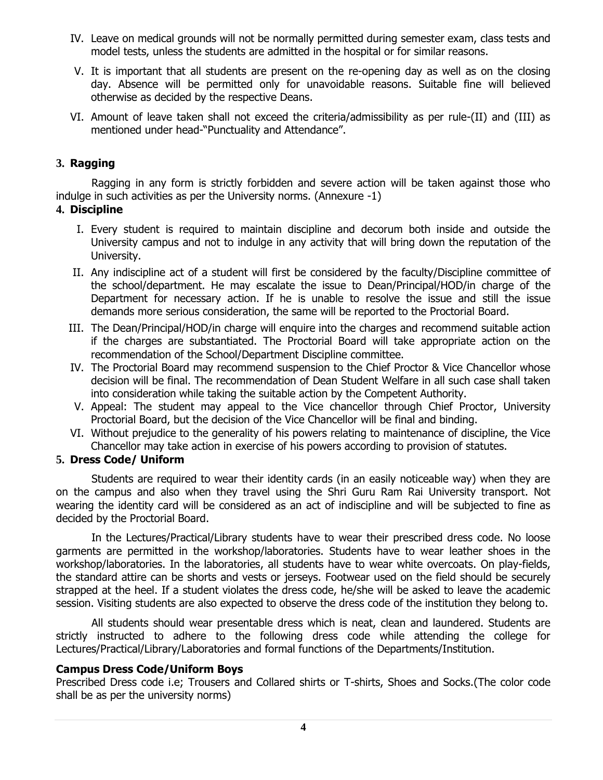- IV. Leave on medical grounds will not be normally permitted during semester exam, class tests and model tests, unless the students are admitted in the hospital or for similar reasons.
- V. It is important that all students are present on the re-opening day as well as on the closing day. Absence will be permitted only for unavoidable reasons. Suitable fine will believed otherwise as decided by the respective Deans.
- VI. Amount of leave taken shall not exceed the criteria/admissibility as per rule-(II) and (III) as mentioned under head-"Punctuality and Attendance".

### **3. Ragging**

Ragging in any form is strictly forbidden and severe action will be taken against those who indulge in such activities as per the University norms. (Annexure -1)

#### **4. Discipline**

- I. Every student is required to maintain discipline and decorum both inside and outside the University campus and not to indulge in any activity that will bring down the reputation of the University.
- II. Any indiscipline act of a student will first be considered by the faculty/Discipline committee of the school/department. He may escalate the issue to Dean/Principal/HOD/in charge of the Department for necessary action. If he is unable to resolve the issue and still the issue demands more serious consideration, the same will be reported to the Proctorial Board.
- III. The Dean/Principal/HOD/in charge will enquire into the charges and recommend suitable action if the charges are substantiated. The Proctorial Board will take appropriate action on the recommendation of the School/Department Discipline committee.
- IV. The Proctorial Board may recommend suspension to the Chief Proctor & Vice Chancellor whose decision will be final. The recommendation of Dean Student Welfare in all such case shall taken into consideration while taking the suitable action by the Competent Authority.
- V. Appeal: The student may appeal to the Vice chancellor through Chief Proctor, University Proctorial Board, but the decision of the Vice Chancellor will be final and binding.
- VI. Without prejudice to the generality of his powers relating to maintenance of discipline, the Vice Chancellor may take action in exercise of his powers according to provision of statutes.

### **5. Dress Code/ Uniform**

Students are required to wear their identity cards (in an easily noticeable way) when they are on the campus and also when they travel using the Shri Guru Ram Rai University transport. Not wearing the identity card will be considered as an act of indiscipline and will be subjected to fine as decided by the Proctorial Board.

In the Lectures/Practical/Library students have to wear their prescribed dress code. No loose garments are permitted in the workshop/laboratories. Students have to wear leather shoes in the workshop/laboratories. In the laboratories, all students have to wear white overcoats. On play-fields, the standard attire can be shorts and vests or jerseys. Footwear used on the field should be securely strapped at the heel. If a student violates the dress code, he/she will be asked to leave the academic session. Visiting students are also expected to observe the dress code of the institution they belong to.

All students should wear presentable dress which is neat, clean and laundered. Students are strictly instructed to adhere to the following dress code while attending the college for Lectures/Practical/Library/Laboratories and formal functions of the Departments/Institution.

### **Campus Dress Code/Uniform Boys**

Prescribed Dress code i.e; Trousers and Collared shirts or T-shirts, Shoes and Socks.(The color code shall be as per the university norms)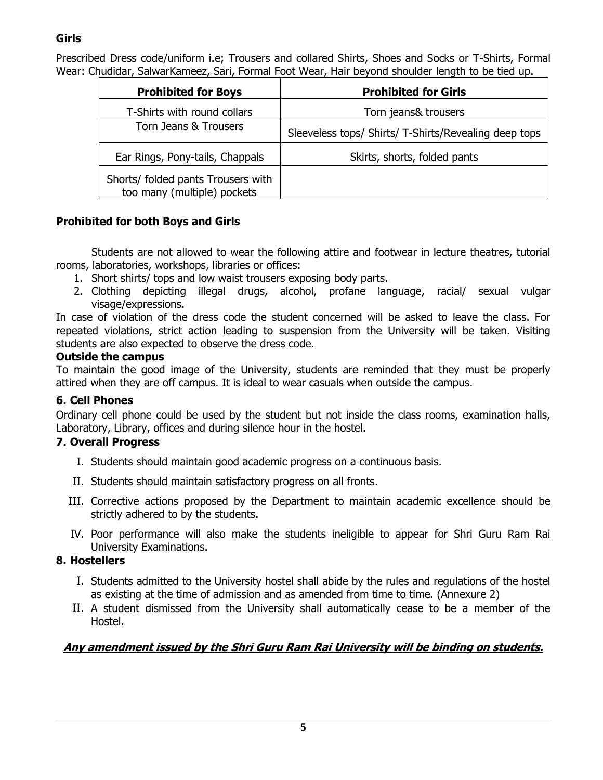# **Girls**

Prescribed Dress code/uniform i.e; Trousers and collared Shirts, Shoes and Socks or T-Shirts, Formal Wear: Chudidar, SalwarKameez, Sari, Formal Foot Wear, Hair beyond shoulder length to be tied up.

| <b>Prohibited for Boys</b>                                        | <b>Prohibited for Girls</b>                           |
|-------------------------------------------------------------------|-------------------------------------------------------|
| T-Shirts with round collars                                       | Torn jeans& trousers                                  |
| Torn Jeans & Trousers                                             | Sleeveless tops/ Shirts/ T-Shirts/Revealing deep tops |
| Ear Rings, Pony-tails, Chappals                                   | Skirts, shorts, folded pants                          |
| Shorts/ folded pants Trousers with<br>too many (multiple) pockets |                                                       |

# **Prohibited for both Boys and Girls**

Students are not allowed to wear the following attire and footwear in lecture theatres, tutorial rooms, laboratories, workshops, libraries or offices:

- 1. Short shirts/ tops and low waist trousers exposing body parts.
- 2. Clothing depicting illegal drugs, alcohol, profane language, racial/ sexual vulgar visage/expressions.

In case of violation of the dress code the student concerned will be asked to leave the class. For repeated violations, strict action leading to suspension from the University will be taken. Visiting students are also expected to observe the dress code.

### **Outside the campus**

To maintain the good image of the University, students are reminded that they must be properly attired when they are off campus. It is ideal to wear casuals when outside the campus.

# **6. Cell Phones**

Ordinary cell phone could be used by the student but not inside the class rooms, examination halls, Laboratory, Library, offices and during silence hour in the hostel.

# **7. Overall Progress**

- I. Students should maintain good academic progress on a continuous basis.
- II. Students should maintain satisfactory progress on all fronts.
- III. Corrective actions proposed by the Department to maintain academic excellence should be strictly adhered to by the students.
- IV. Poor performance will also make the students ineligible to appear for Shri Guru Ram Rai University Examinations.

# **8. Hostellers**

- I. Students admitted to the University hostel shall abide by the rules and regulations of the hostel as existing at the time of admission and as amended from time to time. (Annexure 2)
- II. A student dismissed from the University shall automatically cease to be a member of the Hostel.

# **Any amendment issued by the Shri Guru Ram Rai University will be binding on students.**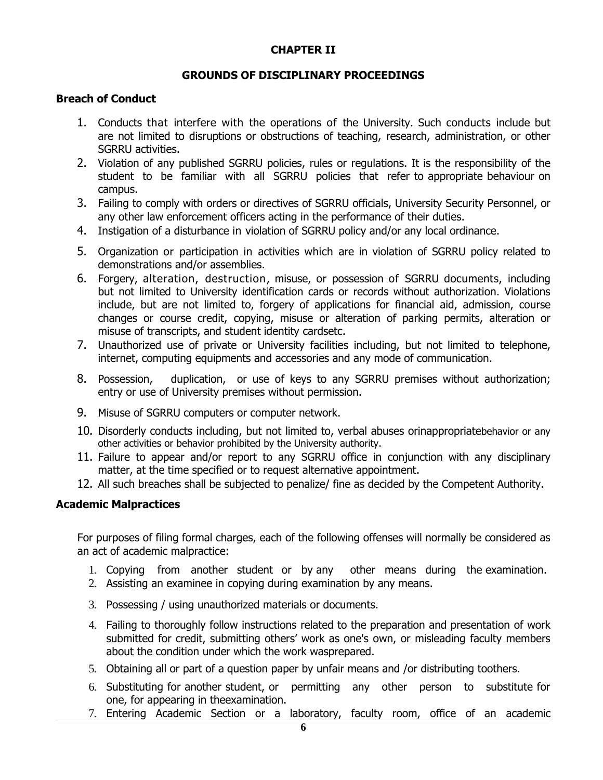### **CHAPTER II**

### **GROUNDS OF DISCIPLINARY PROCEEDINGS**

#### **Breach of Conduct**

- 1. Conducts that interfere with the operations of the University. Such conducts include but are not limited to disruptions or obstructions of teaching, research, administration, or other SGRRU activities.
- 2. Violation of any published SGRRU policies, rules or regulations. It is the responsibility of the student to be familiar with all SGRRU policies that refer to appropriate behaviour on campus.
- 3. Failing to comply with orders or directives of SGRRU officials, University Security Personnel, or any other law enforcement officers acting in the performance of their duties.
- 4. Instigation of a disturbance in violation of SGRRU policy and/or any local ordinance.
- 5. Organization or participation in activities which are in violation of SGRRU policy related to demonstrations and/or assemblies.
- 6. Forgery, alteration, destruction, misuse, or possession of SGRRU documents, including but not limited to University identification cards or records without authorization. Violations include, but are not limited to, forgery of applications for financial aid, admission, course changes or course credit, copying, misuse or alteration of parking permits, alteration or misuse of transcripts, and student identity cardsetc.
- 7. Unauthorized use of private or University facilities including, but not limited to telephone, internet, computing equipments and accessories and any mode of communication.
- 8. Possession, duplication, or use of keys to any SGRRU premises without authorization; entry or use of University premises without permission.
- 9. Misuse of SGRRU computers or computer network.
- 10. Disorderly conducts including, but not limited to, verbal abuses orinappropriatebehavior or any other activities or behavior prohibited by the University authority.
- 11. Failure to appear and/or report to any SGRRU office in conjunction with any disciplinary matter, at the time specified or to request alternative appointment.
- 12. All such breaches shall be subjected to penalize/ fine as decided by the Competent Authority.

#### **Academic Malpractices**

For purposes of filing formal charges, each of the following offenses will normally be considered as an act of academic malpractice:

- 1. Copying from another student or by any other means during the examination.
- 2. Assisting an examinee in copying during examination by any means.
- 3. Possessing / using unauthorized materials or documents.
- 4. Failing to thoroughly follow instructions related to the preparation and presentation of work submitted for credit, submitting others' work as one's own, or misleading faculty members about the condition under which the work wasprepared.
- 5. Obtaining all or part of a question paper by unfair means and /or distributing toothers.
- 6. Substituting for another student, or permitting any other person to substitute for one, for appearing in theexamination.
- 7. Entering Academic Section or a laboratory, faculty room, office of an academic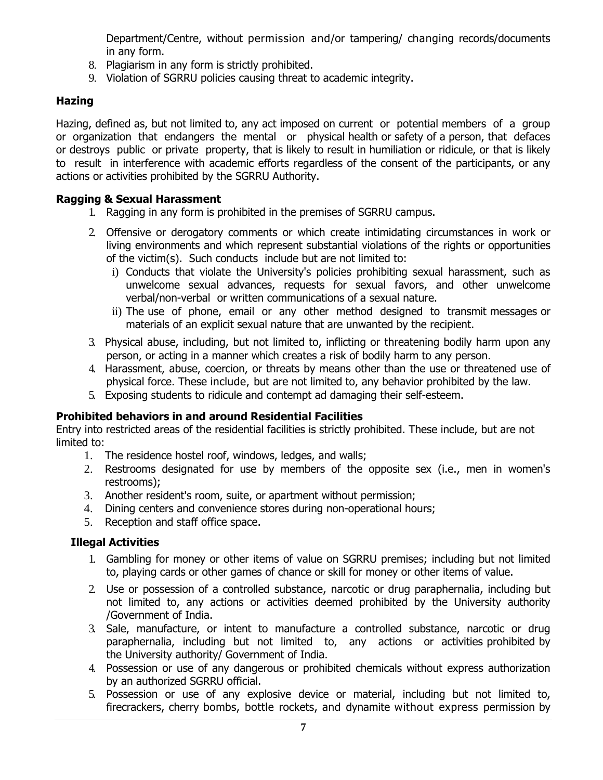Department/Centre, without permission and/or tampering/ changing records/documents in any form.

- 8. Plagiarism in any form is strictly prohibited.
- 9. Violation of SGRRU policies causing threat to academic integrity.

# **Hazing**

Hazing, defined as, but not limited to, any act imposed on current or potential members of a group or organization that endangers the mental or physical health or safety of a person, that defaces or destroys public or private property, that is likely to result in humiliation or ridicule, or that is likely to result in interference with academic efforts regardless of the consent of the participants, or any actions or activities prohibited by the SGRRU Authority.

### **Ragging & Sexual Harassment**

- 1. Ragging in any form is prohibited in the premises of SGRRU campus.
- 2. Offensive or derogatory comments or which create intimidating circumstances in work or living environments and which represent substantial violations of the rights or opportunities of the victim(s). Such conducts include but are not limited to:
	- i) Conducts that violate the University's policies prohibiting sexual harassment, such as unwelcome sexual advances, requests for sexual favors, and other unwelcome verbal/non-verbal or written communications of a sexual nature.
	- ii) The use of phone, email or any other method designed to transmit messages or materials of an explicit sexual nature that are unwanted by the recipient.
- 3. Physical abuse, including, but not limited to, inflicting or threatening bodily harm upon any person, or acting in a manner which creates a risk of bodily harm to any person.
- 4. Harassment, abuse, coercion, or threats by means other than the use or threatened use of physical force. These include, but are not limited to, any behavior prohibited by the law.
- 5. Exposing students to ridicule and contempt ad damaging their self-esteem.

### **Prohibited behaviors in and around Residential Facilities**

Entry into restricted areas of the residential facilities is strictly prohibited. These include, but are not limited to:

- 1. The residence hostel roof, windows, ledges, and walls;
- 2. Restrooms designated for use by members of the opposite sex (i.e., men in women's restrooms);
- 3. Another resident's room, suite, or apartment without permission;
- 4. Dining centers and convenience stores during non-operational hours;
- 5. Reception and staff office space.

### **Illegal Activities**

- 1. Gambling for money or other items of value on SGRRU premises; including but not limited to, playing cards or other games of chance or skill for money or other items of value.
- 2. Use or possession of a controlled substance, narcotic or drug paraphernalia, including but not limited to, any actions or activities deemed prohibited by the University authority /Government of India.
- 3. Sale, manufacture, or intent to manufacture a controlled substance, narcotic or drug paraphernalia, including but not limited to, any actions or activities prohibited by the University authority/ Government of India.
- 4. Possession or use of any dangerous or prohibited chemicals without express authorization by an authorized SGRRU official.
- 5. Possession or use of any explosive device or material, including but not limited to, firecrackers, cherry bombs, bottle rockets, and dynamite without express permission by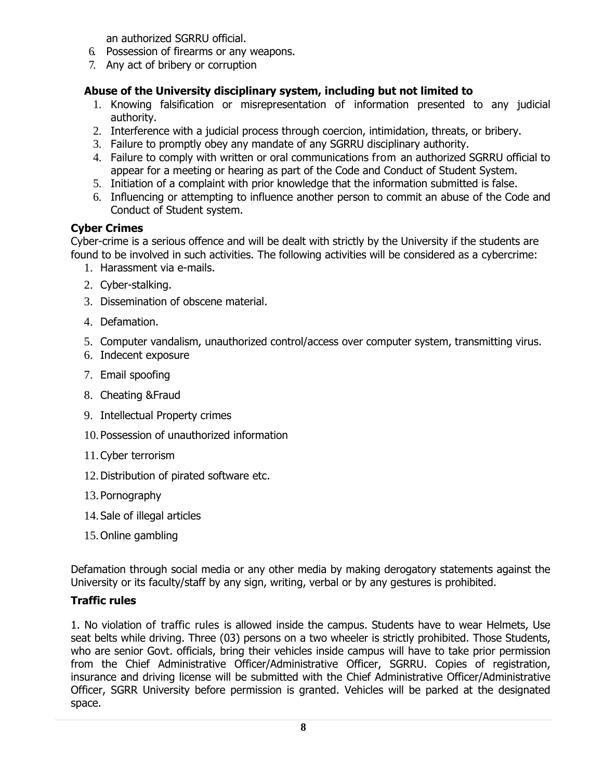an authorized SGRRU official.

- 6. Possession of firearms or any weapons.
- 7. Any act of bribery or corruption

### **Abuse of the University disciplinary system, including but not limited to**

- 1. Knowing falsification or misrepresentation of information presented to any judicial authority.
- 2. Interference with a judicial process through coercion, intimidation, threats, or bribery.
- 3. Failure to promptly obey any mandate of any SGRRU disciplinary authority.
- 4. Failure to comply with written or oral communications from an authorized SGRRU official to appear for a meeting or hearing as part of the Code and Conduct of Student System.
- 5. Initiation of a complaint with prior knowledge that the information submitted is false.
- 6. Influencing or attempting to influence another person to commit an abuse of the Code and Conduct of Student system.

### **Cyber Crimes**

Cyber-crime is a serious offence and will be dealt with strictly by the University if the students are found to be involved in such activities. The following activities will be considered as a cybercrime:

- 1. Harassment via e-mails.
- 2. Cyber-stalking.
- 3. Dissemination of obscene material.
- 4. Defamation.
- 5. Computer vandalism, unauthorized control/access over computer system, transmitting virus.
- 6. Indecent exposure
- 7. Email spoofing
- 8. Cheating &Fraud
- 9. Intellectual Property crimes
- 10. Possession of unauthorized information
- 11. Cyber terrorism
- 12.Distribution of pirated software etc.
- 13. Pornography
- 14. Sale of illegal articles
- 15. Online gambling

Defamation through social media or any other media by making derogatory statements against the University or its faculty/staff by any sign, writing, verbal or by any gestures is prohibited.

### **Traffic rules**

1. No violation of traffic rules is allowed inside the campus. Students have to wear Helmets, Use seat belts while driving. Three (03) persons on a two wheeler is strictly prohibited. Those Students, who are senior Govt. officials, bring their vehicles inside campus will have to take prior permission from the Chief Administrative Officer/Administrative Officer, SGRRU. Copies of registration, insurance and driving license will be submitted with the Chief Administrative Officer/Administrative Officer, SGRR University before permission is granted. Vehicles will be parked at the designated space.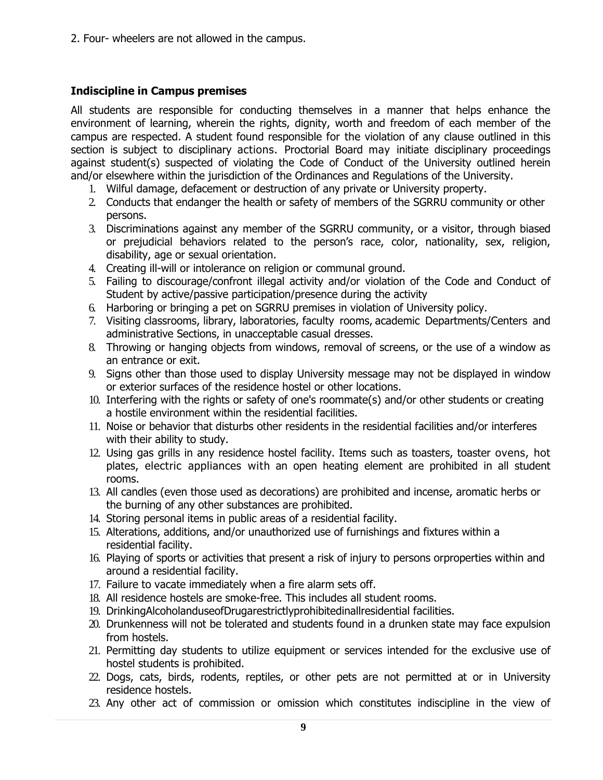2. Four- wheelers are not allowed in the campus.

### **Indiscipline in Campus premises**

All students are responsible for conducting themselves in a manner that helps enhance the environment of learning, wherein the rights, dignity, worth and freedom of each member of the campus are respected. A student found responsible for the violation of any clause outlined in this section is subject to disciplinary actions. Proctorial Board may initiate disciplinary proceedings against student(s) suspected of violating the Code of Conduct of the University outlined herein and/or elsewhere within the jurisdiction of the Ordinances and Regulations of the University.

- 1. Wilful damage, defacement or destruction of any private or University property.
- 2. Conducts that endanger the health or safety of members of the SGRRU community or other persons.
- 3. Discriminations against any member of the SGRRU community, or a visitor, through biased or prejudicial behaviors related to the person's race, color, nationality, sex, religion, disability, age or sexual orientation.
- 4. Creating ill-will or intolerance on religion or communal ground.
- 5. Failing to discourage/confront illegal activity and/or violation of the Code and Conduct of Student by active/passive participation/presence during the activity
- 6. Harboring or bringing a pet on SGRRU premises in violation of University policy.
- 7. Visiting classrooms, library, laboratories, faculty rooms, academic Departments/Centers and administrative Sections, in unacceptable casual dresses.
- 8. Throwing or hanging objects from windows, removal of screens, or the use of a window as an entrance or exit.
- 9. Signs other than those used to display University message may not be displayed in window or exterior surfaces of the residence hostel or other locations.
- 10. Interfering with the rights or safety of one's roommate(s) and/or other students or creating a hostile environment within the residential facilities.
- 11. Noise or behavior that disturbs other residents in the residential facilities and/or interferes with their ability to study.
- 12. Using gas grills in any residence hostel facility. Items such as toasters, toaster ovens, hot plates, electric appliances with an open heating element are prohibited in all student rooms.
- 13. All candles (even those used as decorations) are prohibited and incense, aromatic herbs or the burning of any other substances are prohibited.
- 14. Storing personal items in public areas of a residential facility.
- 15. Alterations, additions, and/or unauthorized use of furnishings and fixtures within a residential facility.
- 16. Playing of sports or activities that present a risk of injury to persons orproperties within and around a residential facility.
- 17. Failure to vacate immediately when a fire alarm sets off.
- 18. All residence hostels are smoke-free. This includes all student rooms.
- 19. DrinkingAlcoholanduseofDrugarestrictlyprohibitedinallresidential facilities.
- 20. Drunkenness will not be tolerated and students found in a drunken state may face expulsion from hostels.
- 21. Permitting day students to utilize equipment or services intended for the exclusive use of hostel students is prohibited.
- 22. Dogs, cats, birds, rodents, reptiles, or other pets are not permitted at or in University residence hostels.
- 23. Any other act of commission or omission which constitutes indiscipline in the view of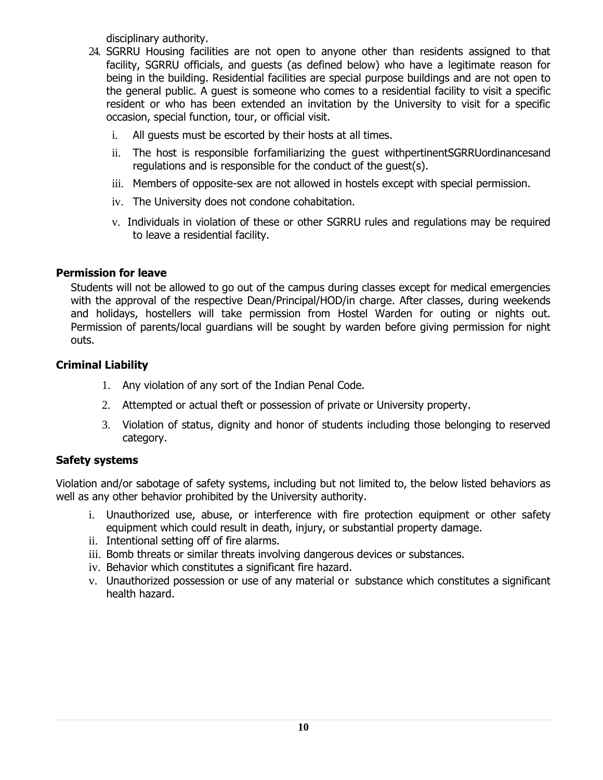disciplinary authority.

- 24. SGRRU Housing facilities are not open to anyone other than residents assigned to that facility, SGRRU officials, and guests (as defined below) who have a legitimate reason for being in the building. Residential facilities are special purpose buildings and are not open to the general public. A guest is someone who comes to a residential facility to visit a specific resident or who has been extended an invitation by the University to visit for a specific occasion, special function, tour, or official visit.
	- i. All guests must be escorted by their hosts at all times.
	- ii. The host is responsible forfamiliarizing the guest withpertinentSGRRUordinancesand regulations and is responsible for the conduct of the guest(s).
	- iii. Members of opposite-sex are not allowed in hostels except with special permission.
	- iv. The University does not condone cohabitation.
	- v. Individuals in violation of these or other SGRRU rules and regulations may be required to leave a residential facility.

### **Permission for leave**

Students will not be allowed to go out of the campus during classes except for medical emergencies with the approval of the respective Dean/Principal/HOD/in charge. After classes, during weekends and holidays, hostellers will take permission from Hostel Warden for outing or nights out. Permission of parents/local guardians will be sought by warden before giving permission for night outs.

### **Criminal Liability**

- 1. Any violation of any sort of the Indian Penal Code.
- 2. Attempted or actual theft or possession of private or University property.
- 3. Violation of status, dignity and honor of students including those belonging to reserved category.

# **Safety systems**

Violation and/or sabotage of safety systems, including but not limited to, the below listed behaviors as well as any other behavior prohibited by the University authority.

- i. Unauthorized use, abuse, or interference with fire protection equipment or other safety equipment which could result in death, injury, or substantial property damage.
- ii. Intentional setting off of fire alarms.
- iii. Bomb threats or similar threats involving dangerous devices or substances.
- iv. Behavior which constitutes a significant fire hazard.
- v. Unauthorized possession or use of any material or substance which constitutes a significant health hazard.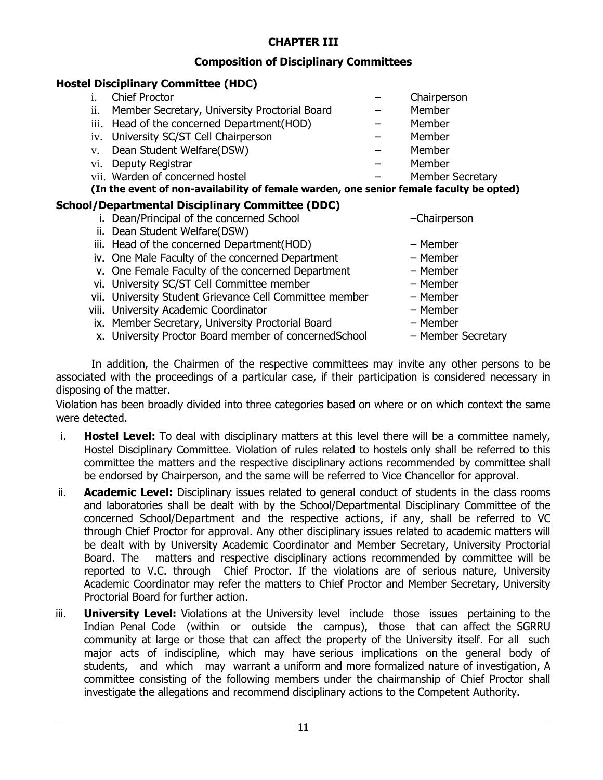# **CHAPTER III**

### **Composition of Disciplinary Committees**

### **Hostel Disciplinary Committee (HDC)**

|     | <b>Chief Proctor</b>                                                                    | Chairperson             |
|-----|-----------------------------------------------------------------------------------------|-------------------------|
| 11. | Member Secretary, University Proctorial Board                                           | Member                  |
|     | iii. Head of the concerned Department (HOD)                                             | Member                  |
|     | iv. University SC/ST Cell Chairperson                                                   | Member                  |
| V.  | Dean Student Welfare(DSW)                                                               | Member                  |
|     | Deputy Registrar<br>V1.                                                                 | Member                  |
|     | vii. Warden of concerned hostel                                                         | <b>Member Secretary</b> |
|     | (In the event of non-availability of female warden, one senior female faculty be opted) |                         |
|     | School/Departmental Disciplinary Committee (DDC)                                        |                         |
|     | Dean/Principal of the concerned School                                                  | -Chairperson            |
|     | Dean Student Welfare(DSW)<br>н.                                                         |                         |
|     | iii. Head of the concerned Department(HOD)                                              | - Member                |
|     | iv. One Male Faculty of the concerned Department                                        | - Member                |

- v. One Female Faculty of the concerned Department Member
- vi. University SC/ST Cell Committee member Member
- vii. University Student Grievance Cell Committee member Member
- viii. University Academic Coordinator Member
- ix. Member Secretary, University Proctorial Board Member
- x. University Proctor Board member of concernedSchool Member Secretary
- 
- 
- 
- 
- 
- -

In addition, the Chairmen of the respective committees may invite any other persons to be associated with the proceedings of a particular case, if their participation is considered necessary in disposing of the matter.

Violation has been broadly divided into three categories based on where or on which context the same were detected.

- i. **Hostel Level:** To deal with disciplinary matters at this level there will be a committee namely, Hostel Disciplinary Committee. Violation of rules related to hostels only shall be referred to this committee the matters and the respective disciplinary actions recommended by committee shall be endorsed by Chairperson, and the same will be referred to Vice Chancellor for approval.
- ii. **Academic Level:** Disciplinary issues related to general conduct of students in the class rooms and laboratories shall be dealt with by the School/Departmental Disciplinary Committee of the concerned School/Department and the respective actions, if any, shall be referred to VC through Chief Proctor for approval. Any other disciplinary issues related to academic matters will be dealt with by University Academic Coordinator and Member Secretary, University Proctorial Board. The matters and respective disciplinary actions recommended by committee will be reported to V.C. through Chief Proctor. If the violations are of serious nature, University Academic Coordinator may refer the matters to Chief Proctor and Member Secretary, University Proctorial Board for further action.
- iii. **University Level:** Violations at the University level include those issues pertaining to the Indian Penal Code (within or outside the campus), those that can affect the SGRRU community at large or those that can affect the property of the University itself. For all such major acts of indiscipline, which may have serious implications on the general body of students, and which may warrant a uniform and more formalized nature of investigation, A committee consisting of the following members under the chairmanship of Chief Proctor shall investigate the allegations and recommend disciplinary actions to the Competent Authority.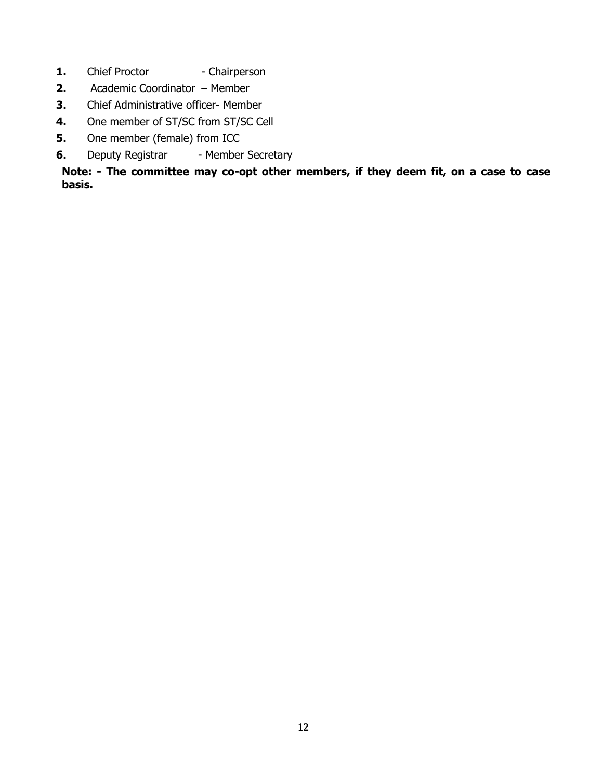- **1.** Chief Proctor Chairperson
- **2.** Academic Coordinator Member
- **3.** Chief Administrative officer- Member
- **4.** One member of ST/SC from ST/SC Cell
- **5.** One member (female) from ICC
- **6.** Deputy Registrar Member Secretary

**Note: - The committee may co-opt other members, if they deem fit, on a case to case basis.**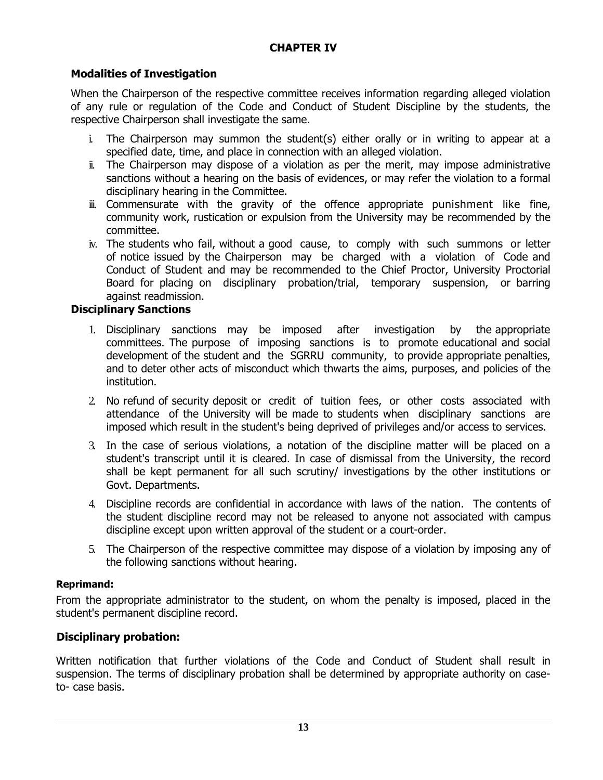### **CHAPTER IV**

# **Modalities of Investigation**

When the Chairperson of the respective committee receives information regarding alleged violation of any rule or regulation of the Code and Conduct of Student Discipline by the students, the respective Chairperson shall investigate the same.

- i. The Chairperson may summon the student(s) either orally or in writing to appear at a specified date, time, and place in connection with an alleged violation.
- ii. The Chairperson may dispose of a violation as per the merit, may impose administrative sanctions without a hearing on the basis of evidences, or may refer the violation to a formal disciplinary hearing in the Committee.
- iii. Commensurate with the gravity of the offence appropriate punishment like fine, community work, rustication or expulsion from the University may be recommended by the committee.
- iv. The students who fail, without a good cause, to comply with such summons or letter of notice issued by the Chairperson may be charged with a violation of Code and Conduct of Student and may be recommended to the Chief Proctor, University Proctorial Board for placing on disciplinary probation/trial, temporary suspension, or barring against readmission.

### **Disciplinary Sanctions**

- 1. Disciplinary sanctions may be imposed after investigation by the appropriate committees. The purpose of imposing sanctions is to promote educational and social development of the student and the SGRRU community, to provide appropriate penalties, and to deter other acts of misconduct which thwarts the aims, purposes, and policies of the institution.
- 2. No refund of security deposit or credit of tuition fees, or other costs associated with attendance of the University will be made to students when disciplinary sanctions are imposed which result in the student's being deprived of privileges and/or access to services.
- 3. In the case of serious violations, a notation of the discipline matter will be placed on a student's transcript until it is cleared. In case of dismissal from the University, the record shall be kept permanent for all such scrutiny/ investigations by the other institutions or Govt. Departments.
- 4. Discipline records are confidential in accordance with laws of the nation. The contents of the student discipline record may not be released to anyone not associated with campus discipline except upon written approval of the student or a court-order.
- 5. The Chairperson of the respective committee may dispose of a violation by imposing any of the following sanctions without hearing.

#### **Reprimand:**

From the appropriate administrator to the student, on whom the penalty is imposed, placed in the student's permanent discipline record.

### **[Disciplinary probation:**

Written notification that further violations of the Code and Conduct of Student shall result in suspension. The terms of disciplinary probation shall be determined by appropriate authority on caseto- case basis.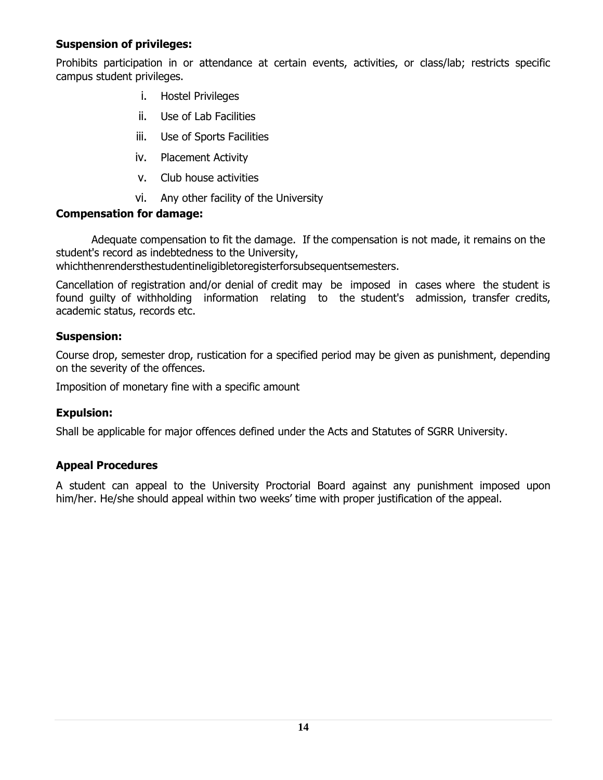# **Suspension of privileges:**

Prohibits participation in or attendance at certain events, activities, or class/lab; restricts specific campus student privileges.

- i. Hostel Privileges
- ii. Use of Lab Facilities
- iii. Use of Sports Facilities
- iv. Placement Activity
- v. Club house activities
- vi. Any other facility of the University

### **Compensation for damage:**

Adequate compensation to fit the damage. If the compensation is not made, it remains on the student's record as indebtedness to the University,

whichthenrendersthestudentineligibletoregisterforsubsequentsemesters.

Cancellation of registration and/or denial of credit may be imposed in cases where the student is found guilty of withholding information relating to the student's admission, transfer credits, academic status, records etc.

### **Suspension:**

Course drop, semester drop, rustication for a specified period may be given as punishment, depending on the severity of the offences.

Imposition of monetary fine with a specific amount

# **Expulsion:**

Shall be applicable for major offences defined under the Acts and Statutes of SGRR University.

# **Appeal Procedures**

A student can appeal to the University Proctorial Board against any punishment imposed upon him/her. He/she should appeal within two weeks' time with proper justification of the appeal.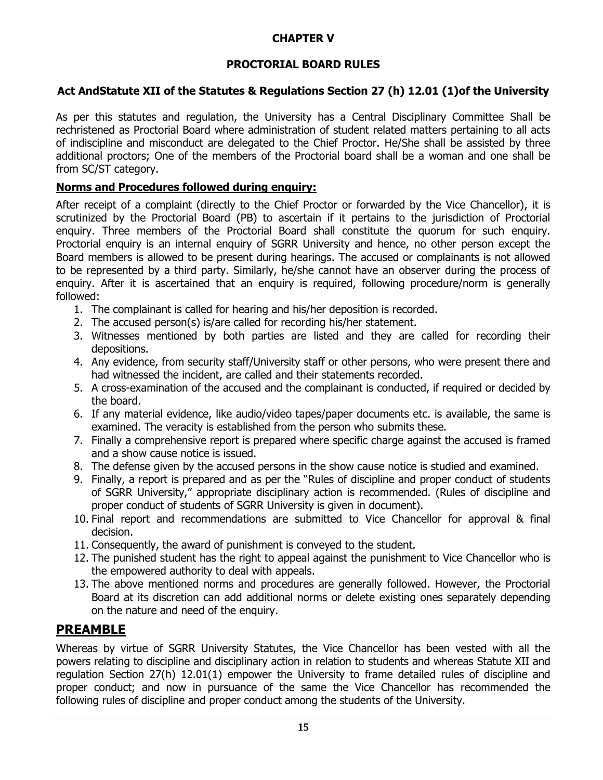# **CHAPTER V**

# **PROCTORIAL BOARD RULES**

### **Act AndStatute XII of the Statutes & Regulations Section 27 (h) 12.01 (1)of the University**

As per this statutes and regulation, the University has a Central Disciplinary Committee Shall be rechristened as Proctorial Board where administration of student related matters pertaining to all acts of indiscipline and misconduct are delegated to the Chief Proctor. He/She shall be assisted by three additional proctors; One of the members of the Proctorial board shall be a woman and one shall be from SC/ST category.

### **Norms and Procedures followed during enquiry:**

After receipt of a complaint (directly to the Chief Proctor or forwarded by the Vice Chancellor), it is scrutinized by the Proctorial Board (PB) to ascertain if it pertains to the jurisdiction of Proctorial enquiry. Three members of the Proctorial Board shall constitute the quorum for such enquiry. Proctorial enquiry is an internal enquiry of SGRR University and hence, no other person except the Board members is allowed to be present during hearings. The accused or complainants is not allowed to be represented by a third party. Similarly, he/she cannot have an observer during the process of enquiry. After it is ascertained that an enquiry is required, following procedure/norm is generally followed:

- 1. The complainant is called for hearing and his/her deposition is recorded.
- 2. The accused person(s) is/are called for recording his/her statement.
- 3. Witnesses mentioned by both parties are listed and they are called for recording their depositions.
- 4. Any evidence, from security staff/University staff or other persons, who were present there and had witnessed the incident, are called and their statements recorded.
- 5. A cross-examination of the accused and the complainant is conducted, if required or decided by the board.
- 6. If any material evidence, like audio/video tapes/paper documents etc. is available, the same is examined. The veracity is established from the person who submits these.
- 7. Finally a comprehensive report is prepared where specific charge against the accused is framed and a show cause notice is issued.
- 8. The defense given by the accused persons in the show cause notice is studied and examined.
- 9. Finally, a report is prepared and as per the "Rules of discipline and proper conduct of students of SGRR University," appropriate disciplinary action is recommended. (Rules of discipline and proper conduct of students of SGRR University is given in document).
- 10. Final report and recommendations are submitted to Vice Chancellor for approval & final decision.
- 11. Consequently, the award of punishment is conveyed to the student.
- 12. The punished student has the right to appeal against the punishment to Vice Chancellor who is the empowered authority to deal with appeals.
- 13. The above mentioned norms and procedures are generally followed. However, the Proctorial Board at its discretion can add additional norms or delete existing ones separately depending on the nature and need of the enquiry.

# **PREAMBLE**

Whereas by virtue of SGRR University Statutes, the Vice Chancellor has been vested with all the powers relating to discipline and disciplinary action in relation to students and whereas Statute XII and regulation Section 27(h) 12.01(1) empower the University to frame detailed rules of discipline and proper conduct; and now in pursuance of the same the Vice Chancellor has recommended the following rules of discipline and proper conduct among the students of the University.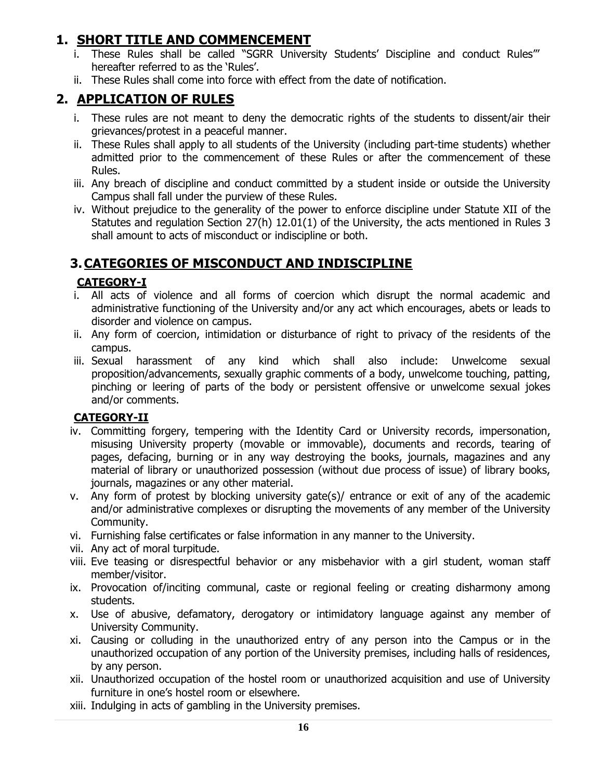# **1. SHORT TITLE AND COMMENCEMENT**

- i. These Rules shall be called "SGRR University Students' Discipline and conduct Rules" hereafter referred to as the 'Rules'.
- ii. These Rules shall come into force with effect from the date of notification.

# **2. APPLICATION OF RULES**

- i. These rules are not meant to deny the democratic rights of the students to dissent/air their grievances/protest in a peaceful manner.
- ii. These Rules shall apply to all students of the University (including part-time students) whether admitted prior to the commencement of these Rules or after the commencement of these Rules.
- iii. Any breach of discipline and conduct committed by a student inside or outside the University Campus shall fall under the purview of these Rules.
- iv. Without prejudice to the generality of the power to enforce discipline under Statute XII of the Statutes and regulation Section 27(h) 12.01(1) of the University, the acts mentioned in Rules 3 shall amount to acts of misconduct or indiscipline or both.

# **3.CATEGORIES OF MISCONDUCT AND INDISCIPLINE**

# **CATEGORY-I**

- i. All acts of violence and all forms of coercion which disrupt the normal academic and administrative functioning of the University and/or any act which encourages, abets or leads to disorder and violence on campus.
- ii. Any form of coercion, intimidation or disturbance of right to privacy of the residents of the campus.
- iii. Sexual harassment of any kind which shall also include: Unwelcome sexual proposition/advancements, sexually graphic comments of a body, unwelcome touching, patting, pinching or leering of parts of the body or persistent offensive or unwelcome sexual jokes and/or comments.

# **CATEGORY-II**

- iv. Committing forgery, tempering with the Identity Card or University records, impersonation, misusing University property (movable or immovable), documents and records, tearing of pages, defacing, burning or in any way destroying the books, journals, magazines and any material of library or unauthorized possession (without due process of issue) of library books, journals, magazines or any other material.
- v. Any form of protest by blocking university gate(s)/ entrance or exit of any of the academic and/or administrative complexes or disrupting the movements of any member of the University Community.
- vi. Furnishing false certificates or false information in any manner to the University.
- vii. Any act of moral turpitude.
- viii. Eve teasing or disrespectful behavior or any misbehavior with a girl student, woman staff member/visitor.
- ix. Provocation of/inciting communal, caste or regional feeling or creating disharmony among students.
- x. Use of abusive, defamatory, derogatory or intimidatory language against any member of University Community.
- xi. Causing or colluding in the unauthorized entry of any person into the Campus or in the unauthorized occupation of any portion of the University premises, including halls of residences, by any person.
- xii. Unauthorized occupation of the hostel room or unauthorized acquisition and use of University furniture in one's hostel room or elsewhere.
- xiii. Indulging in acts of gambling in the University premises.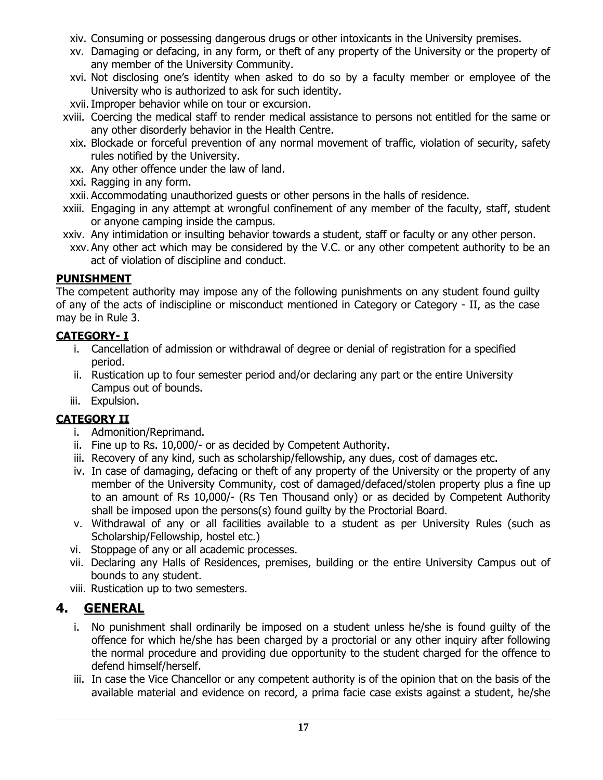- xiv. Consuming or possessing dangerous drugs or other intoxicants in the University premises.
- xv. Damaging or defacing, in any form, or theft of any property of the University or the property of any member of the University Community.
- xvi. Not disclosing one's identity when asked to do so by a faculty member or employee of the University who is authorized to ask for such identity.
- xvii.Improper behavior while on tour or excursion.
- xviii. Coercing the medical staff to render medical assistance to persons not entitled for the same or any other disorderly behavior in the Health Centre.
	- xix. Blockade or forceful prevention of any normal movement of traffic, violation of security, safety rules notified by the University.
	- xx. Any other offence under the law of land.
	- xxi. Ragging in any form.
- xxii. Accommodating unauthorized guests or other persons in the halls of residence.
- xxiii. Engaging in any attempt at wrongful confinement of any member of the faculty, staff, student or anyone camping inside the campus.
- xxiv. Any intimidation or insulting behavior towards a student, staff or faculty or any other person.
- xxv.Any other act which may be considered by the V.C. or any other competent authority to be an act of violation of discipline and conduct.

# **PUNISHMENT**

The competent authority may impose any of the following punishments on any student found guilty of any of the acts of indiscipline or misconduct mentioned in Category or Category - II, as the case may be in Rule 3.

# **CATEGORY- I**

- i. Cancellation of admission or withdrawal of degree or denial of registration for a specified period.
- ii. Rustication up to four semester period and/or declaring any part or the entire University Campus out of bounds.
- iii. Expulsion.

# **CATEGORY II**

- i. Admonition/Reprimand.
- ii. Fine up to Rs. 10,000/- or as decided by Competent Authority.
- iii. Recovery of any kind, such as scholarship/fellowship, any dues, cost of damages etc.
- iv. In case of damaging, defacing or theft of any property of the University or the property of any member of the University Community, cost of damaged/defaced/stolen property plus a fine up to an amount of Rs 10,000/- (Rs Ten Thousand only) or as decided by Competent Authority shall be imposed upon the persons(s) found guilty by the Proctorial Board.
- v. Withdrawal of any or all facilities available to a student as per University Rules (such as Scholarship/Fellowship, hostel etc.)
- vi. Stoppage of any or all academic processes.
- vii. Declaring any Halls of Residences, premises, building or the entire University Campus out of bounds to any student.
- viii. Rustication up to two semesters.

# **4. GENERAL**

- i. No punishment shall ordinarily be imposed on a student unless he/she is found guilty of the offence for which he/she has been charged by a proctorial or any other inquiry after following the normal procedure and providing due opportunity to the student charged for the offence to defend himself/herself.
- iii. In case the Vice Chancellor or any competent authority is of the opinion that on the basis of the available material and evidence on record, a prima facie case exists against a student, he/she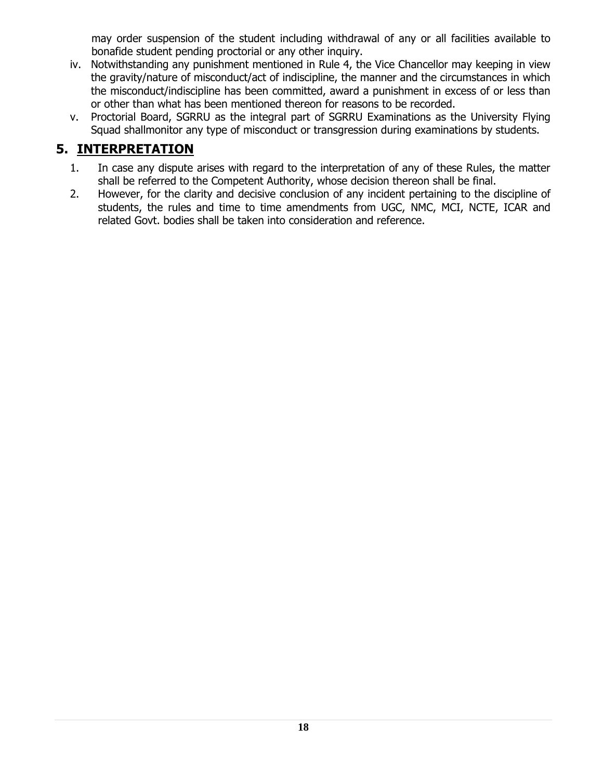may order suspension of the student including withdrawal of any or all facilities available to bonafide student pending proctorial or any other inquiry.

- iv. Notwithstanding any punishment mentioned in Rule 4, the Vice Chancellor may keeping in view the gravity/nature of misconduct/act of indiscipline, the manner and the circumstances in which the misconduct/indiscipline has been committed, award a punishment in excess of or less than or other than what has been mentioned thereon for reasons to be recorded.
- v. Proctorial Board, SGRRU as the integral part of SGRRU Examinations as the University Flying Squad shallmonitor any type of misconduct or transgression during examinations by students.

# **5. INTERPRETATION**

- 1. In case any dispute arises with regard to the interpretation of any of these Rules, the matter shall be referred to the Competent Authority, whose decision thereon shall be final.
- 2. However, for the clarity and decisive conclusion of any incident pertaining to the discipline of students, the rules and time to time amendments from UGC, NMC, MCI, NCTE, ICAR and related Govt. bodies shall be taken into consideration and reference.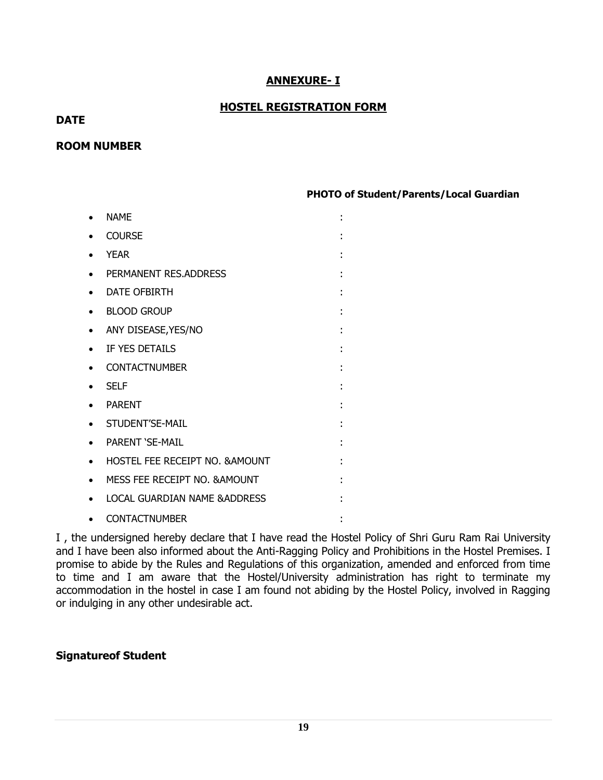### **ANNEXURE- I**

### **HOSTEL REGISTRATION FORM**

### **DATE**

#### **ROOM NUMBER**

**PHOTO of Student/Parents/Local Guardian**

| <b>NAMF</b>                     |   |
|---------------------------------|---|
| <b>COURSE</b>                   |   |
| <b>YEAR</b>                     |   |
| PERMANENT RES.ADDRESS           |   |
| DATE OFBIRTH                    |   |
| <b>BLOOD GROUP</b>              |   |
| ANY DISEASE, YES/NO             | ٠ |
| IF YES DETAILS                  |   |
| <b>CONTACTNUMBER</b>            |   |
| <b>SELF</b>                     |   |
| <b>PARENT</b>                   |   |
| STUDENT'SE-MAIL                 | ٠ |
| <b>PARENT 'SE-MAIL</b>          |   |
| HOSTEL FEE RECEIPT NO. & AMOUNT |   |
| MESS FEE RECEIPT NO. & AMOUNT   |   |
| LOCAL GUARDIAN NAME & ADDRESS   |   |
| <b>CONTACTNUMBER</b>            |   |

I , the undersigned hereby declare that I have read the Hostel Policy of Shri Guru Ram Rai University and I have been also informed about the Anti-Ragging Policy and Prohibitions in the Hostel Premises. I promise to abide by the Rules and Regulations of this organization, amended and enforced from time to time and I am aware that the Hostel/University administration has right to terminate my accommodation in the hostel in case I am found not abiding by the Hostel Policy, involved in Ragging or indulging in any other undesirable act.

### **Signatureof Student**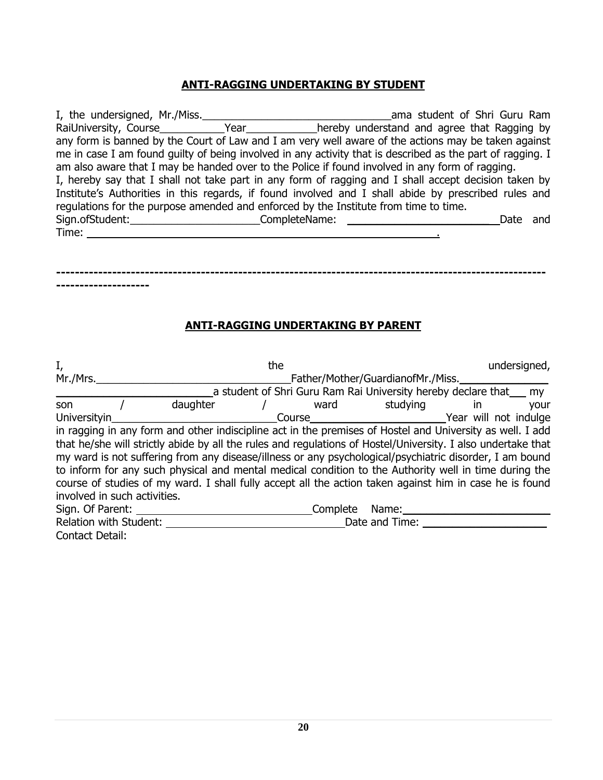### **ANTI-RAGGING UNDERTAKING BY STUDENT**

I, the undersigned, Mr./Miss.\_\_\_\_\_\_\_\_\_\_\_\_\_\_\_\_\_\_\_\_\_\_\_\_\_\_\_\_\_\_\_\_ama student of Shri Guru Ram RaiUniversity, Course\_\_\_\_\_\_\_\_\_\_\_\_Year\_\_\_\_\_\_\_\_\_\_\_\_hereby understand and agree that Ragging by any form is banned by the Court of Law and I am very well aware of the actions may be taken against me in case I am found guilty of being involved in any activity that is described as the part of ragging. I am also aware that I may be handed over to the Police if found involved in any form of ragging. I, hereby say that I shall not take part in any form of ragging and I shall accept decision taken by Institute's Authorities in this regards, if found involved and I shall abide by prescribed rules and regulations for the purpose amended and enforced by the Institute from time to time. Sign.ofStudent:\_\_\_\_\_\_\_\_\_\_\_\_\_\_\_\_\_\_\_\_\_\_CompleteName: \_\_\_\_\_\_\_\_\_\_\_\_\_\_\_\_\_\_\_\_\_\_\_\_ Date and Time: .

**--------------------------------------------------------------------------------------------------------- --------------------**

#### **ANTI-RAGGING UNDERTAKING BY PARENT**

| I,                           | the                                                                                                          |  |                |                                   |                                                                     | undersigned, |
|------------------------------|--------------------------------------------------------------------------------------------------------------|--|----------------|-----------------------------------|---------------------------------------------------------------------|--------------|
| Mr./Mrs.                     |                                                                                                              |  |                | Father/Mother/GuardianofMr./Miss. |                                                                     |              |
|                              |                                                                                                              |  |                |                                   | a student of Shri Guru Ram Rai University hereby declare that___ my |              |
| son                          | daughter                                                                                                     |  |                | ward studying in                  |                                                                     | your         |
| Universityin                 |                                                                                                              |  |                |                                   |                                                                     |              |
|                              | in ragging in any form and other indiscipline act in the premises of Hostel and University as well. I add    |  |                |                                   |                                                                     |              |
|                              | that he/she will strictly abide by all the rules and regulations of Hostel/University. I also undertake that |  |                |                                   |                                                                     |              |
|                              | my ward is not suffering from any disease/illness or any psychological/psychiatric disorder, I am bound      |  |                |                                   |                                                                     |              |
|                              | to inform for any such physical and mental medical condition to the Authority well in time during the        |  |                |                                   |                                                                     |              |
|                              | course of studies of my ward. I shall fully accept all the action taken against him in case he is found      |  |                |                                   |                                                                     |              |
| involved in such activities. |                                                                                                              |  |                |                                   |                                                                     |              |
| Sign. Of Parent:             |                                                                                                              |  | Complete Name: |                                   |                                                                     |              |
| Relation with Student:       |                                                                                                              |  |                | Date and Time:                    |                                                                     |              |
| Contact Detail:              |                                                                                                              |  |                |                                   |                                                                     |              |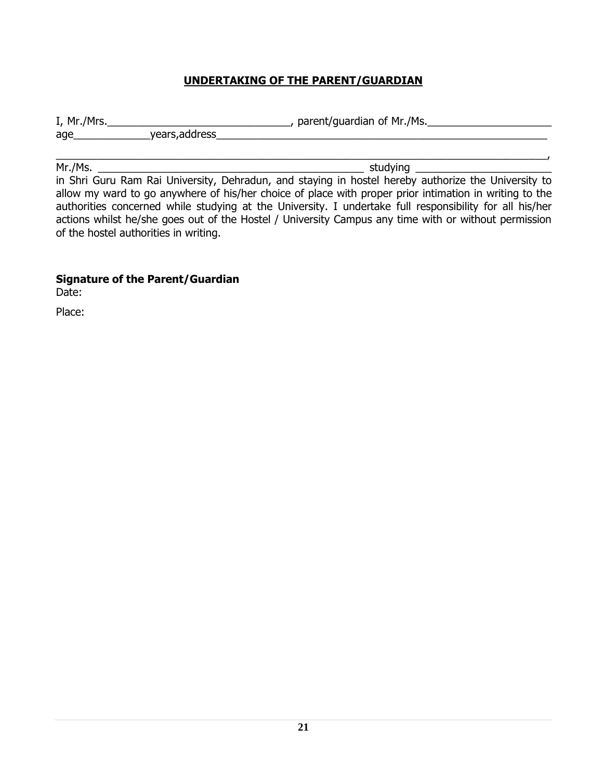# **UNDERTAKING OF THE PARENT/GUARDIAN**

| I, Mr./Mrs. |                | , parent/guardian of Mr./Ms. |
|-------------|----------------|------------------------------|
| age         | years, address |                              |
|             |                |                              |

Mr./Ms. \_\_\_\_\_\_\_\_\_\_\_\_\_\_\_\_\_\_\_\_\_\_\_\_\_\_\_\_\_\_\_\_\_\_\_\_\_\_\_\_\_\_\_\_\_ studying \_\_\_\_\_\_\_\_\_\_\_\_\_\_\_\_\_\_\_\_\_\_\_ in Shri Guru Ram Rai University, Dehradun, and staying in hostel hereby authorize the University to allow my ward to go anywhere of his/her choice of place with proper prior intimation in writing to the authorities concerned while studying at the University. I undertake full responsibility for all his/her actions whilst he/she goes out of the Hostel / University Campus any time with or without permission of the hostel authorities in writing.

#### **Signature of the Parent/Guardian**

Date:

Place: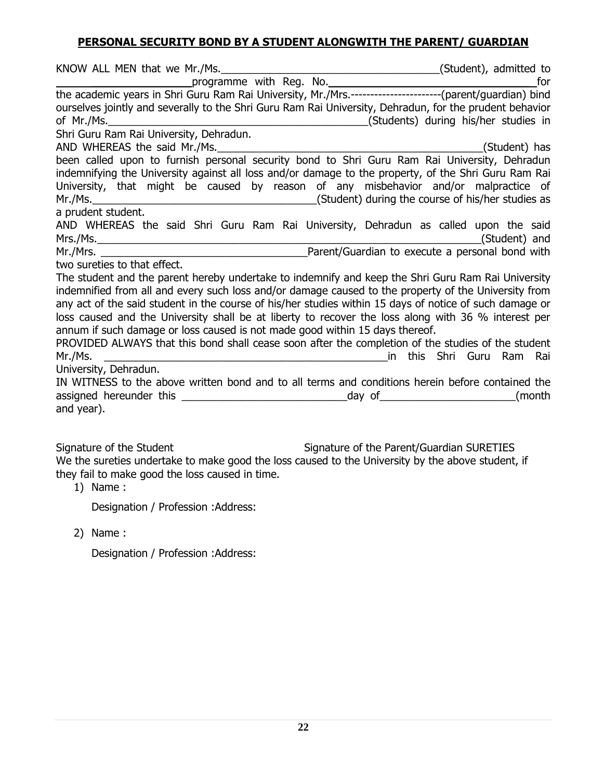### **PERSONAL SECURITY BOND BY A STUDENT ALONGWITH THE PARENT/ GUARDIAN**

| ourselves jointly and severally to the Shri Guru Ram Rai University, Dehradun, for the prudent behavior |                                      |
|---------------------------------------------------------------------------------------------------------|--------------------------------------|
|                                                                                                         | (Students) during his/her studies in |
| Shri Guru Ram Rai University, Dehradun.                                                                 |                                      |
| AND WHEREAS the said Mr./Ms.                                                                            | (Student) has                        |
| been called upon to furnish personal security bond to Shri Guru Ram Rai University, Dehradun            |                                      |
| indemnifying the University against all loss and/or damage to the property, of the Shri Guru Ram Rai    |                                      |
| University, that might be caused by reason of any misbehavior and/or malpractice of                     |                                      |
|                                                                                                         |                                      |
| a prudent student.                                                                                      |                                      |
| AND WHEREAS the said Shri Guru Ram Rai University, Dehradun as called upon the said                     |                                      |
|                                                                                                         |                                      |
|                                                                                                         |                                      |
| two sureties to that effect.                                                                            |                                      |
| The student and the parent hereby undertake to indemnify and keep the Shri Guru Ram Rai University      |                                      |
| indemnified from all and every such loss and/or damage caused to the property of the University from    |                                      |
| any act of the said student in the course of his/her studies within 15 days of notice of such damage or |                                      |
| loss caused and the University shall be at liberty to recover the loss along with 36 % interest per     |                                      |
| annum if such damage or loss caused is not made good within 15 days thereof.                            |                                      |
| PROVIDED ALWAYS that this bond shall cease soon after the completion of the studies of the student      |                                      |
| Mr./Ms.                                                                                                 |                                      |
| University, Dehradun.                                                                                   |                                      |
| IN WITNESS to the above written bond and to all terms and conditions herein before contained the        |                                      |
|                                                                                                         |                                      |
| and year).                                                                                              |                                      |
|                                                                                                         |                                      |

Signature of the Student Signature of the Parent/Guardian SURETIES We the sureties undertake to make good the loss caused to the University by the above student, if they fail to make good the loss caused in time.

 $1)$  Name :

Designation / Profession :Address:

2) Name :

Designation / Profession :Address: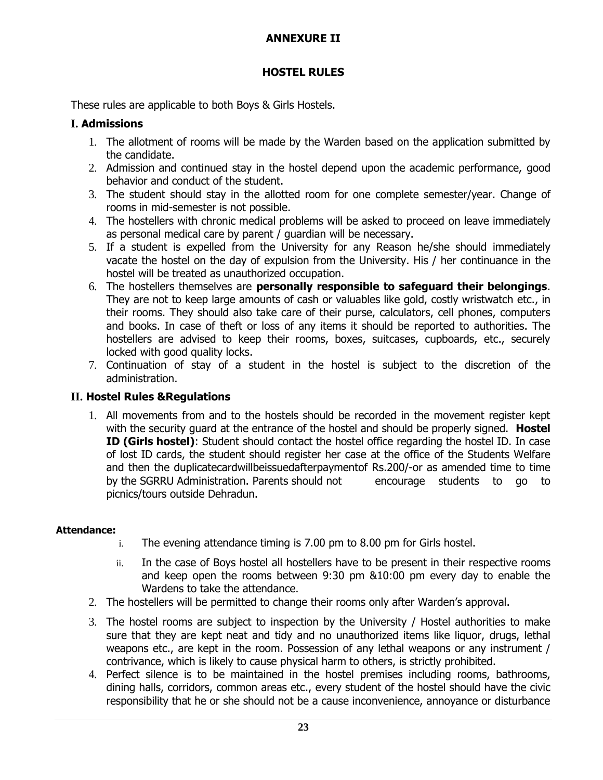# **ANNEXURE II**

### **HOSTEL RULES**

These rules are applicable to both Boys & Girls Hostels.

### **I. Admissions**

- 1. The allotment of rooms will be made by the Warden based on the application submitted by the candidate.
- 2. Admission and continued stay in the hostel depend upon the academic performance, good behavior and conduct of the student.
- 3. The student should stay in the allotted room for one complete semester/year. Change of rooms in mid-semester is not possible.
- 4. The hostellers with chronic medical problems will be asked to proceed on leave immediately as personal medical care by parent / guardian will be necessary.
- 5. If a student is expelled from the University for any Reason he/she should immediately vacate the hostel on the day of expulsion from the University. His / her continuance in the hostel will be treated as unauthorized occupation.
- 6. The hostellers themselves are **personally responsible to safeguard their belongings**. They are not to keep large amounts of cash or valuables like gold, costly wristwatch etc., in their rooms. They should also take care of their purse, calculators, cell phones, computers and books. In case of theft or loss of any items it should be reported to authorities. The hostellers are advised to keep their rooms, boxes, suitcases, cupboards, etc., securely locked with good quality locks.
- 7. Continuation of stay of a student in the hostel is subject to the discretion of the administration.

# **II. Hostel Rules &Regulations**

1. All movements from and to the hostels should be recorded in the movement register kept with the security guard at the entrance of the hostel and should be properly signed. **Hostel ID (Girls hostel)**: Student should contact the hostel office regarding the hostel ID. In case of lost ID cards, the student should register her case at the office of the Students Welfare and then the duplicatecardwillbeissuedafterpaymentof Rs.200/-or as amended time to time by the SGRRU Administration. Parents should not encourage students to go to picnics/tours outside Dehradun.

### **Attendance:**

- i. The evening attendance timing is 7.00 pm to 8.00 pm for Girls hostel.
- ii. In the case of Boys hostel all hostellers have to be present in their respective rooms and keep open the rooms between 9:30 pm &10:00 pm every day to enable the Wardens to take the attendance.
- 2. The hostellers will be permitted to change their rooms only after Warden's approval.
- 3. The hostel rooms are subject to inspection by the University / Hostel authorities to make sure that they are kept neat and tidy and no unauthorized items like liquor, drugs, lethal weapons etc., are kept in the room. Possession of any lethal weapons or any instrument / contrivance, which is likely to cause physical harm to others, is strictly prohibited.
- 4. Perfect silence is to be maintained in the hostel premises including rooms, bathrooms, dining halls, corridors, common areas etc., every student of the hostel should have the civic responsibility that he or she should not be a cause inconvenience, annoyance or disturbance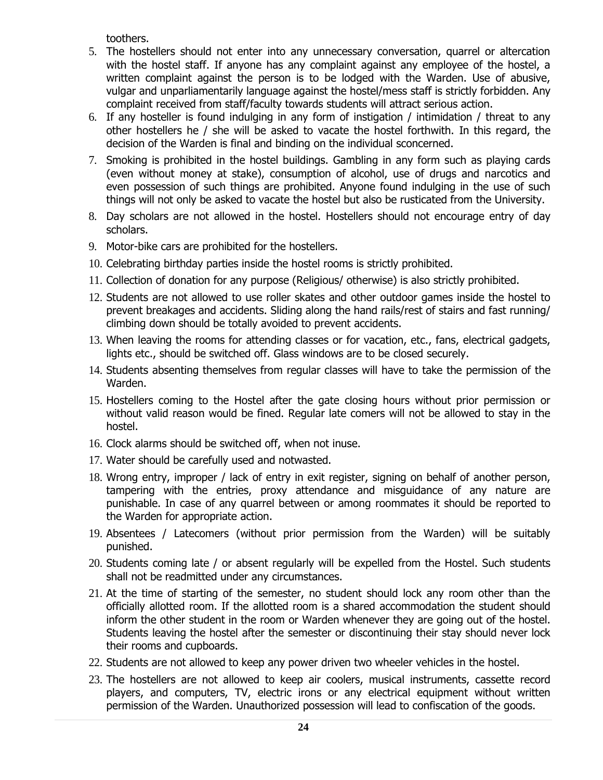toothers.

- 5. The hostellers should not enter into any unnecessary conversation, quarrel or altercation with the hostel staff. If anyone has any complaint against any employee of the hostel, a written complaint against the person is to be lodged with the Warden. Use of abusive, vulgar and unparliamentarily language against the hostel/mess staff is strictly forbidden. Any complaint received from staff/faculty towards students will attract serious action.
- 6. If any hosteller is found indulging in any form of instigation / intimidation / threat to any other hostellers he / she will be asked to vacate the hostel forthwith. In this regard, the decision of the Warden is final and binding on the individual sconcerned.
- 7. Smoking is prohibited in the hostel buildings. Gambling in any form such as playing cards (even without money at stake), consumption of alcohol, use of drugs and narcotics and even possession of such things are prohibited. Anyone found indulging in the use of such things will not only be asked to vacate the hostel but also be rusticated from the University.
- 8. Day scholars are not allowed in the hostel. Hostellers should not encourage entry of day scholars.
- 9. Motor-bike cars are prohibited for the hostellers.
- 10. Celebrating birthday parties inside the hostel rooms is strictly prohibited.
- 11. Collection of donation for any purpose (Religious/ otherwise) is also strictly prohibited.
- 12. Students are not allowed to use roller skates and other outdoor games inside the hostel to prevent breakages and accidents. Sliding along the hand rails/rest of stairs and fast running/ climbing down should be totally avoided to prevent accidents.
- 13. When leaving the rooms for attending classes or for vacation, etc., fans, electrical gadgets, lights etc., should be switched off. Glass windows are to be closed securely.
- 14. Students absenting themselves from regular classes will have to take the permission of the Warden.
- 15. Hostellers coming to the Hostel after the gate closing hours without prior permission or without valid reason would be fined. Regular late comers will not be allowed to stay in the hostel.
- 16. Clock alarms should be switched off, when not inuse.
- 17. Water should be carefully used and notwasted.
- 18. Wrong entry, improper / lack of entry in exit register, signing on behalf of another person, tampering with the entries, proxy attendance and misguidance of any nature are punishable. In case of any quarrel between or among roommates it should be reported to the Warden for appropriate action.
- 19. Absentees / Latecomers (without prior permission from the Warden) will be suitably punished.
- 20. Students coming late / or absent regularly will be expelled from the Hostel. Such students shall not be readmitted under any circumstances.
- 21. At the time of starting of the semester, no student should lock any room other than the officially allotted room. If the allotted room is a shared accommodation the student should inform the other student in the room or Warden whenever they are going out of the hostel. Students leaving the hostel after the semester or discontinuing their stay should never lock their rooms and cupboards.
- 22. Students are not allowed to keep any power driven two wheeler vehicles in the hostel.
- 23. The hostellers are not allowed to keep air coolers, musical instruments, cassette record players, and computers, TV, electric irons or any electrical equipment without written permission of the Warden. Unauthorized possession will lead to confiscation of the goods.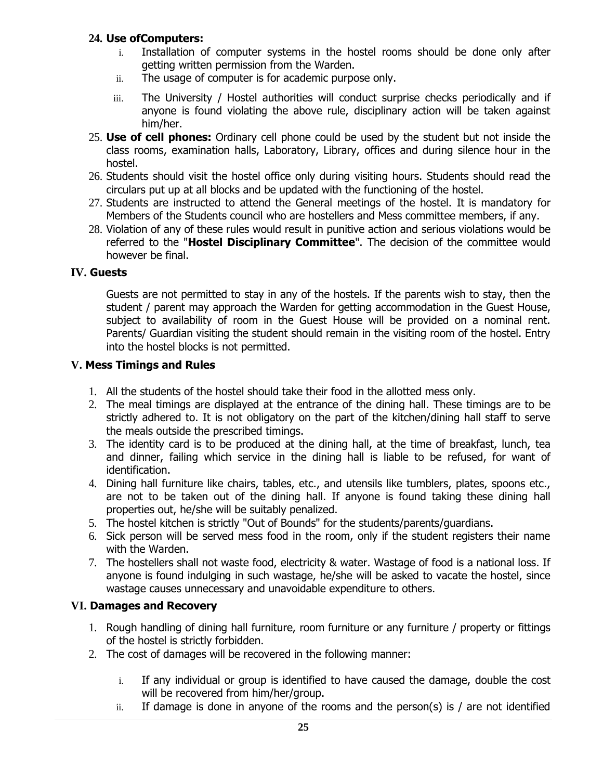### **24. Use ofComputers:**

- Installation of computer systems in the hostel rooms should be done only after getting written permission from the Warden.
- ii. The usage of computer is for academic purpose only.
- iii. The University / Hostel authorities will conduct surprise checks periodically and if anyone is found violating the above rule, disciplinary action will be taken against him/her.
- 25. **Use of cell phones:** Ordinary cell phone could be used by the student but not inside the class rooms, examination halls, Laboratory, Library, offices and during silence hour in the hostel.
- 26. Students should visit the hostel office only during visiting hours. Students should read the circulars put up at all blocks and be updated with the functioning of the hostel.
- 27. Students are instructed to attend the General meetings of the hostel. It is mandatory for Members of the Students council who are hostellers and Mess committee members, if any.
- 28. Violation of any of these rules would result in punitive action and serious violations would be referred to the "**Hostel Disciplinary Committee**". The decision of the committee would however be final.

### **IV. Guests**

Guests are not permitted to stay in any of the hostels. If the parents wish to stay, then the student / parent may approach the Warden for getting accommodation in the Guest House, subject to availability of room in the Guest House will be provided on a nominal rent. Parents/ Guardian visiting the student should remain in the visiting room of the hostel. Entry into the hostel blocks is not permitted.

### **V. Mess Timings and Rules**

- 1. All the students of the hostel should take their food in the allotted mess only.
- 2. The meal timings are displayed at the entrance of the dining hall. These timings are to be strictly adhered to. It is not obligatory on the part of the kitchen/dining hall staff to serve the meals outside the prescribed timings.
- 3. The identity card is to be produced at the dining hall, at the time of breakfast, lunch, tea and dinner, failing which service in the dining hall is liable to be refused, for want of identification.
- 4. Dining hall furniture like chairs, tables, etc., and utensils like tumblers, plates, spoons etc., are not to be taken out of the dining hall. If anyone is found taking these dining hall properties out, he/she will be suitably penalized.
- 5. The hostel kitchen is strictly "Out of Bounds" for the students/parents/guardians.
- 6. Sick person will be served mess food in the room, only if the student registers their name with the Warden.
- 7. The hostellers shall not waste food, electricity & water. Wastage of food is a national loss. If anyone is found indulging in such wastage, he/she will be asked to vacate the hostel, since wastage causes unnecessary and unavoidable expenditure to others.

# **VI. Damages and Recovery**

- 1. Rough handling of dining hall furniture, room furniture or any furniture / property or fittings of the hostel is strictly forbidden.
- 2. The cost of damages will be recovered in the following manner:
	- i. If any individual or group is identified to have caused the damage, double the cost will be recovered from him/her/group.
	- $ii.$  If damage is done in anyone of the rooms and the person(s) is / are not identified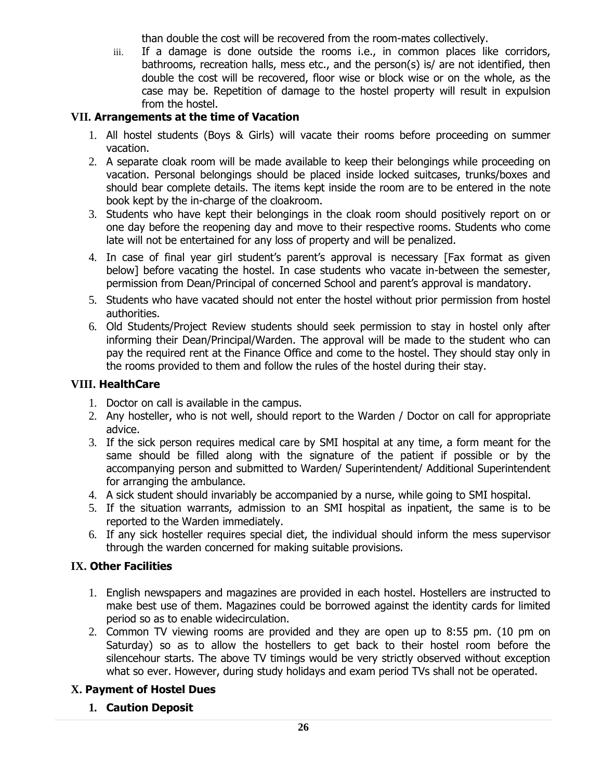than double the cost will be recovered from the room-mates collectively.

iii. If a damage is done outside the rooms i.e., in common places like corridors, bathrooms, recreation halls, mess etc., and the person(s) is/ are not identified, then double the cost will be recovered, floor wise or block wise or on the whole, as the case may be. Repetition of damage to the hostel property will result in expulsion from the hostel.

# **VII. Arrangements at the time of Vacation**

- 1. All hostel students (Boys & Girls) will vacate their rooms before proceeding on summer vacation.
- 2. A separate cloak room will be made available to keep their belongings while proceeding on vacation. Personal belongings should be placed inside locked suitcases, trunks/boxes and should bear complete details. The items kept inside the room are to be entered in the note book kept by the in-charge of the cloakroom.
- 3. Students who have kept their belongings in the cloak room should positively report on or one day before the reopening day and move to their respective rooms. Students who come late will not be entertained for any loss of property and will be penalized.
- 4. In case of final year girl student's parent's approval is necessary [Fax format as given below] before vacating the hostel. In case students who vacate in-between the semester, permission from Dean/Principal of concerned School and parent's approval is mandatory.
- 5. Students who have vacated should not enter the hostel without prior permission from hostel authorities.
- 6. Old Students/Project Review students should seek permission to stay in hostel only after informing their Dean/Principal/Warden. The approval will be made to the student who can pay the required rent at the Finance Office and come to the hostel. They should stay only in the rooms provided to them and follow the rules of the hostel during their stay.

### **VIII. HealthCare**

- 1. Doctor on call is available in the campus.
- 2. Any hosteller, who is not well, should report to the Warden / Doctor on call for appropriate advice.
- 3. If the sick person requires medical care by SMI hospital at any time, a form meant for the same should be filled along with the signature of the patient if possible or by the accompanying person and submitted to Warden/ Superintendent/ Additional Superintendent for arranging the ambulance.
- 4. A sick student should invariably be accompanied by a nurse, while going to SMI hospital.
- 5. If the situation warrants, admission to an SMI hospital as inpatient, the same is to be reported to the Warden immediately.
- 6. If any sick hosteller requires special diet, the individual should inform the mess supervisor through the warden concerned for making suitable provisions.

# **IX. Other Facilities**

- 1. English newspapers and magazines are provided in each hostel. Hostellers are instructed to make best use of them. Magazines could be borrowed against the identity cards for limited period so as to enable widecirculation.
- 2. Common TV viewing rooms are provided and they are open up to 8:55 pm. (10 pm on Saturday) so as to allow the hostellers to get back to their hostel room before the silencehour starts. The above TV timings would be very strictly observed without exception what so ever. However, during study holidays and exam period TVs shall not be operated.

# **X. Payment of Hostel Dues**

**1. Caution Deposit**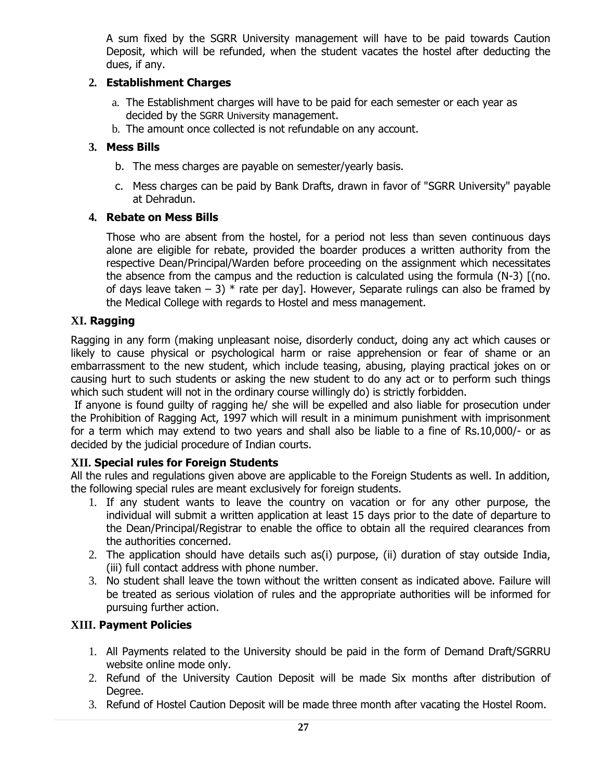A sum fixed by the SGRR University management will have to be paid towards Caution Deposit, which will be refunded, when the student vacates the hostel after deducting the dues, if any.

### **2. Establishment Charges**

- a. The Establishment charges will have to be paid for each semester or each year as decided by the SGRR University management.
- b. The amount once collected is not refundable on any account.

### **3. Mess Bills**

- b. The mess charges are payable on semester/yearly basis.
- c. Mess charges can be paid by Bank Drafts, drawn in favor of "SGRR University" payable at Dehradun.

### **4. Rebate on Mess Bills**

Those who are absent from the hostel, for a period not less than seven continuous days alone are eligible for rebate, provided the boarder produces a written authority from the respective Dean/Principal/Warden before proceeding on the assignment which necessitates the absence from the campus and the reduction is calculated using the formula (N-3) [(no. of days leave taken  $-3$ )  $*$  rate per day]. However, Separate rulings can also be framed by the Medical College with regards to Hostel and mess management.

### **XI. Ragging**

Ragging in any form (making unpleasant noise, disorderly conduct, doing any act which causes or likely to cause physical or psychological harm or raise apprehension or fear of shame or an embarrassment to the new student, which include teasing, abusing, playing practical jokes on or causing hurt to such students or asking the new student to do any act or to perform such things which such student will not in the ordinary course willingly do) is strictly forbidden.

If anyone is found guilty of ragging he/ she will be expelled and also liable for prosecution under the Prohibition of Ragging Act, 1997 which will result in a minimum punishment with imprisonment for a term which may extend to two years and shall also be liable to a fine of Rs.10,000/- or as decided by the judicial procedure of Indian courts.

# **XII. Special rules for Foreign Students**

All the rules and regulations given above are applicable to the Foreign Students as well. In addition, the following special rules are meant exclusively for foreign students.

- 1. If any student wants to leave the country on vacation or for any other purpose, the individual will submit a written application at least 15 days prior to the date of departure to the Dean/Principal/Registrar to enable the office to obtain all the required clearances from the authorities concerned.
- 2. The application should have details such as(i) purpose, (ii) duration of stay outside India, (iii) full contact address with phone number.
- 3. No student shall leave the town without the written consent as indicated above. Failure will be treated as serious violation of rules and the appropriate authorities will be informed for pursuing further action.

# **XIII. Payment Policies**

- 1. All Payments related to the University should be paid in the form of Demand Draft/SGRRU website online mode only.
- 2. Refund of the University Caution Deposit will be made Six months after distribution of Degree.
- 3. Refund of Hostel Caution Deposit will be made three month after vacating the Hostel Room.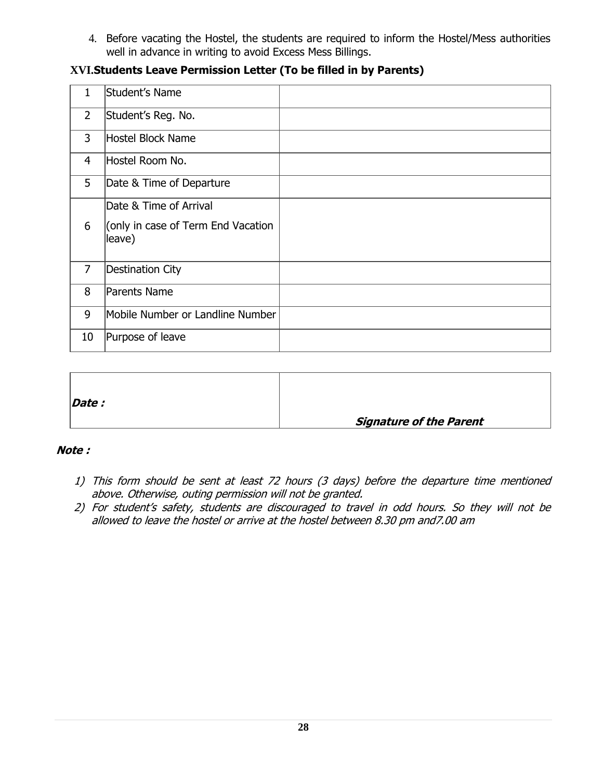4. Before vacating the Hostel, the students are required to inform the Hostel/Mess authorities well in advance in writing to avoid Excess Mess Billings.

### **XVI.Students Leave Permission Letter (To be filled in by Parents)**

| $\mathbf{1}$   | Student's Name                               |  |
|----------------|----------------------------------------------|--|
| $\overline{2}$ | Student's Reg. No.                           |  |
| 3              | Hostel Block Name                            |  |
| 4              | Hostel Room No.                              |  |
| 5              | Date & Time of Departure                     |  |
|                | Date & Time of Arrival                       |  |
| 6              | (only in case of Term End Vacation<br>leave) |  |
| $\overline{7}$ | Destination City                             |  |
| 8              | Parents Name                                 |  |
| 9              | Mobile Number or Landline Number             |  |
| 10             | Purpose of leave                             |  |

| $\vert$ <i>Date :</i> |                                |
|-----------------------|--------------------------------|
|                       | <b>Signature of the Parent</b> |

#### **Note :**

- 1) This form should be sent at least 72 hours (3 days) before the departure time mentioned above. Otherwise, outing permission will not be granted.
- 2) For student's safety, students are discouraged to travel in odd hours. So they will not be allowed to leave the hostel or arrive at the hostel between 8.30 pm and7.00 am